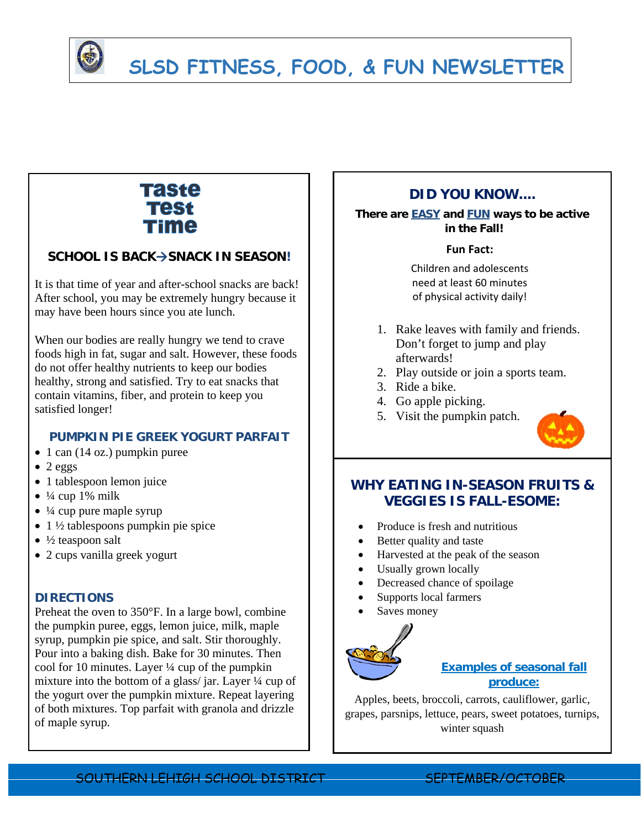

# **SLSD FITNESS, FOOD, & FUN NEWSLETTER**

## **Taste Test** Time

## **SCHOOL IS BACK→SNACK IN SEASON!**

It is that time of year and after-school snacks are back! After school, you may be extremely hungry because it may have been hours since you ate lunch.

When our bodies are really hungry we tend to crave foods high in fat, sugar and salt. However, these foods do not offer healthy nutrients to keep our bodies healthy, strong and satisfied. Try to eat snacks that contain vitamins, fiber, and protein to keep you satisfied longer!

### **PUMPKIN PIE GREEK YOGURT PARFAIT**

- $\bullet$  1 can (14 oz.) pumpkin puree
- $\bullet$  2 eggs
- 1 tablespoon lemon juice
- $\bullet$  ¼ cup 1% milk
- $\bullet$  ¼ cup pure maple syrup
- $\bullet$  1 ½ tablespoons pumpkin pie spice
- $\bullet$  ½ teaspoon salt
- 2 cups vanilla greek yogurt

#### **DIRECTIONS**

Preheat the oven to 350°F. In a large bowl, combine the pumpkin puree, eggs, lemon juice, milk, maple syrup, pumpkin pie spice, and salt. Stir thoroughly. Pour into a baking dish. Bake for 30 minutes. Then cool for 10 minutes. Layer ¼ cup of the pumpkin mixture into the bottom of a glass/ jar. Layer ¼ cup of the yogurt over the pumpkin mixture. Repeat layering of both mixtures. Top parfait with granola and drizzle of maple syrup.

## **DID YOU KNOW....**

**There are EASY and FUN ways to be active in the Fall!** 

#### **Fun Fact:**

Children and adolescents need at least 60 minutes of physical activity daily!

- 1. Rake leaves with family and friends. Don't forget to jump and play afterwards!
- 2. Play outside or join a sports team.
- 3. Ride a bike.
- 4. Go apple picking.
- 5. Visit the pumpkin patch.



## **WHY EATING IN-SEASON FRUITS & VEGGIES IS FALL-ESOME:**

- Produce is fresh and nutritious
- Better quality and taste
- Harvested at the peak of the season
- Usually grown locally
- Decreased chance of spoilage
- Supports local farmers
- Saves money



## **Examples of seasonal fall produce:**

Apples, beets, broccoli, carrots, cauliflower, garlic, grapes, parsnips, lettuce, pears, sweet potatoes, turnips, winter squash